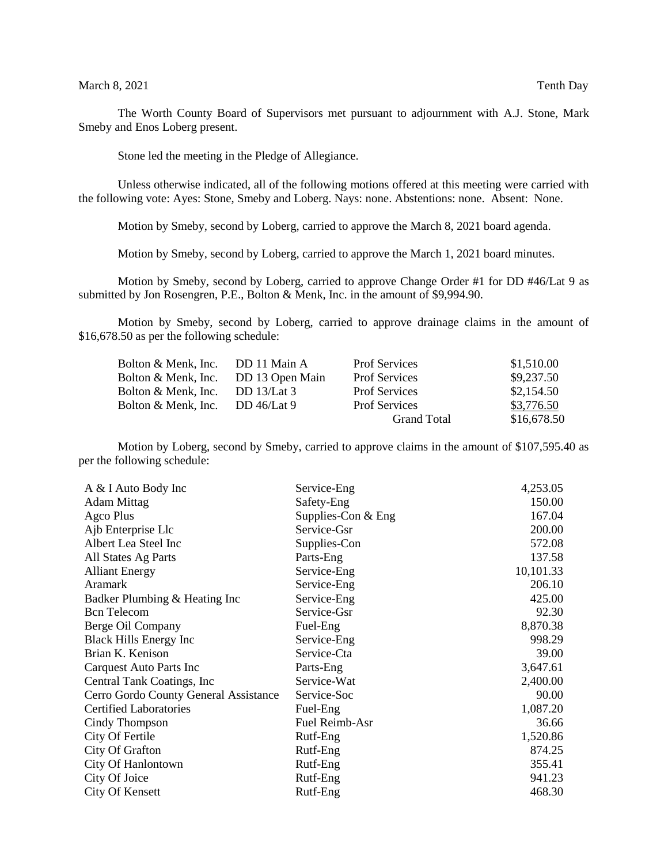The Worth County Board of Supervisors met pursuant to adjournment with A.J. Stone, Mark Smeby and Enos Loberg present.

Stone led the meeting in the Pledge of Allegiance.

Unless otherwise indicated, all of the following motions offered at this meeting were carried with the following vote: Ayes: Stone, Smeby and Loberg. Nays: none. Abstentions: none. Absent: None.

Motion by Smeby, second by Loberg, carried to approve the March 8, 2021 board agenda.

Motion by Smeby, second by Loberg, carried to approve the March 1, 2021 board minutes.

Motion by Smeby, second by Loberg, carried to approve Change Order #1 for DD #46/Lat 9 as submitted by Jon Rosengren, P.E., Bolton & Menk, Inc. in the amount of \$9,994.90.

Motion by Smeby, second by Loberg, carried to approve drainage claims in the amount of \$16,678.50 as per the following schedule:

| DD 11 Main A    | <b>Prof Services</b> | \$1,510.00  |
|-----------------|----------------------|-------------|
| DD 13 Open Main | <b>Prof Services</b> | \$9,237.50  |
| DD $13/Lat 3$   | <b>Prof Services</b> | \$2,154.50  |
| DD $46/Lat$ 9   | <b>Prof Services</b> | \$3,776.50  |
|                 | <b>Grand Total</b>   | \$16,678.50 |
|                 |                      |             |

Motion by Loberg, second by Smeby, carried to approve claims in the amount of \$107,595.40 as per the following schedule:

| A & I Auto Body Inc                   | Service-Eng          | 4,253.05  |
|---------------------------------------|----------------------|-----------|
| <b>Adam Mittag</b>                    | Safety-Eng           | 150.00    |
| Agco Plus                             | Supplies-Con $&$ Eng | 167.04    |
| Ajb Enterprise Llc                    | Service-Gsr          | 200.00    |
| Albert Lea Steel Inc                  | Supplies-Con         | 572.08    |
| All States Ag Parts                   | Parts-Eng            | 137.58    |
| <b>Alliant Energy</b>                 | Service-Eng          | 10,101.33 |
| Aramark                               | Service-Eng          | 206.10    |
| Badker Plumbing & Heating Inc         | Service-Eng          | 425.00    |
| <b>Bcn</b> Telecom                    | Service-Gsr          | 92.30     |
| Berge Oil Company                     | Fuel-Eng             | 8,870.38  |
| <b>Black Hills Energy Inc</b>         | Service-Eng          | 998.29    |
| Brian K. Kenison                      | Service-Cta          | 39.00     |
| <b>Carquest Auto Parts Inc.</b>       | Parts-Eng            | 3,647.61  |
| Central Tank Coatings, Inc.           | Service-Wat          | 2,400.00  |
| Cerro Gordo County General Assistance | Service-Soc          | 90.00     |
| <b>Certified Laboratories</b>         | Fuel-Eng             | 1,087.20  |
| Cindy Thompson                        | Fuel Reimb-Asr       | 36.66     |
| City Of Fertile                       | Rutf-Eng             | 1,520.86  |
| City Of Grafton                       | Rutf-Eng             | 874.25    |
| City Of Hanlontown                    | Rutf-Eng             | 355.41    |
| City Of Joice                         | Rutf-Eng             | 941.23    |
| City Of Kensett                       | Rutf-Eng             | 468.30    |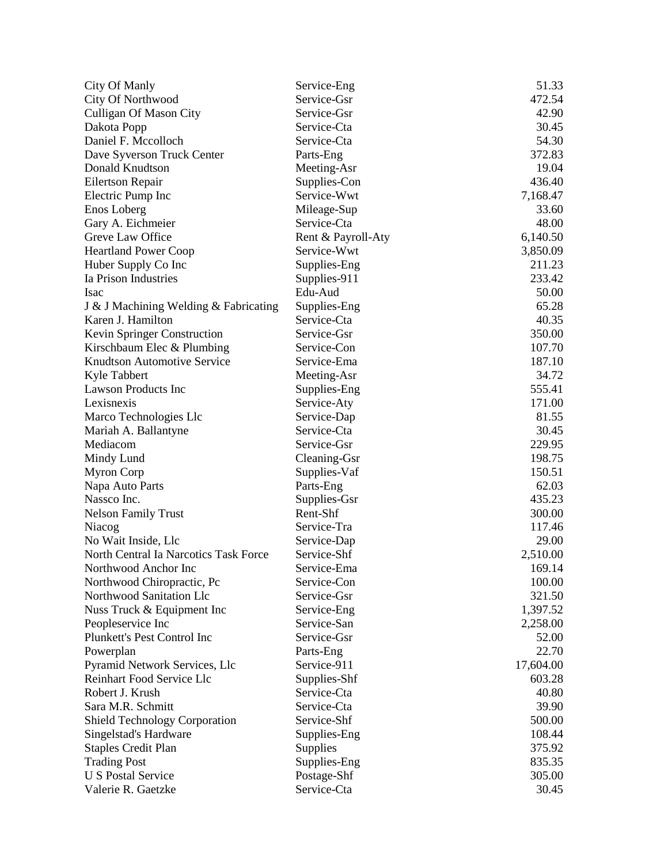| City Of Manly                         | Service-Eng        | 51.33     |
|---------------------------------------|--------------------|-----------|
| City Of Northwood                     | Service-Gsr        | 472.54    |
| <b>Culligan Of Mason City</b>         | Service-Gsr        | 42.90     |
| Dakota Popp                           | Service-Cta        | 30.45     |
| Daniel F. Mccolloch                   | Service-Cta        | 54.30     |
| Dave Syverson Truck Center            | Parts-Eng          | 372.83    |
| Donald Knudtson                       | Meeting-Asr        | 19.04     |
| <b>Eilertson Repair</b>               | Supplies-Con       | 436.40    |
| Electric Pump Inc                     | Service-Wwt        | 7,168.47  |
| Enos Loberg                           | Mileage-Sup        | 33.60     |
| Gary A. Eichmeier                     | Service-Cta        | 48.00     |
| Greve Law Office                      | Rent & Payroll-Aty | 6,140.50  |
| <b>Heartland Power Coop</b>           | Service-Wwt        | 3,850.09  |
| Huber Supply Co Inc                   | Supplies-Eng       | 211.23    |
| Ia Prison Industries                  | Supplies-911       | 233.42    |
| <b>Isac</b>                           | Edu-Aud            | 50.00     |
| J & J Machining Welding & Fabricating | Supplies-Eng       | 65.28     |
| Karen J. Hamilton                     | Service-Cta        | 40.35     |
| <b>Kevin Springer Construction</b>    | Service-Gsr        | 350.00    |
| Kirschbaum Elec & Plumbing            | Service-Con        | 107.70    |
| <b>Knudtson Automotive Service</b>    | Service-Ema        | 187.10    |
| Kyle Tabbert                          | Meeting-Asr        | 34.72     |
| <b>Lawson Products Inc</b>            | Supplies-Eng       | 555.41    |
| Lexisnexis                            | Service-Aty        | 171.00    |
| Marco Technologies Llc                | Service-Dap        | 81.55     |
| Mariah A. Ballantyne                  | Service-Cta        | 30.45     |
| Mediacom                              | Service-Gsr        | 229.95    |
| Mindy Lund                            | Cleaning-Gsr       | 198.75    |
| <b>Myron Corp</b>                     | Supplies-Vaf       | 150.51    |
| Napa Auto Parts                       | Parts-Eng          | 62.03     |
| Nassco Inc.                           | Supplies-Gsr       | 435.23    |
| <b>Nelson Family Trust</b>            | Rent-Shf           | 300.00    |
| Niacog                                | Service-Tra        | 117.46    |
| No Wait Inside, Llc                   | Service-Dap        | 29.00     |
| North Central Ia Narcotics Task Force | Service-Shf        | 2,510.00  |
| Northwood Anchor Inc                  | Service-Ema        | 169.14    |
| Northwood Chiropractic, Pc            | Service-Con        | 100.00    |
| Northwood Sanitation Llc              | Service-Gsr        | 321.50    |
| Nuss Truck & Equipment Inc            | Service-Eng        | 1,397.52  |
| Peopleservice Inc                     | Service-San        | 2,258.00  |
| Plunkett's Pest Control Inc           | Service-Gsr        | 52.00     |
| Powerplan                             | Parts-Eng          | 22.70     |
| Pyramid Network Services, Llc         | Service-911        | 17,604.00 |
| Reinhart Food Service Llc             | Supplies-Shf       | 603.28    |
| Robert J. Krush                       | Service-Cta        | 40.80     |
| Sara M.R. Schmitt                     | Service-Cta        | 39.90     |
| <b>Shield Technology Corporation</b>  | Service-Shf        | 500.00    |
| Singelstad's Hardware                 | Supplies-Eng       | 108.44    |
| <b>Staples Credit Plan</b>            | Supplies           | 375.92    |
| <b>Trading Post</b>                   | Supplies-Eng       | 835.35    |
| <b>U S Postal Service</b>             | Postage-Shf        | 305.00    |
| Valerie R. Gaetzke                    | Service-Cta        | 30.45     |
|                                       |                    |           |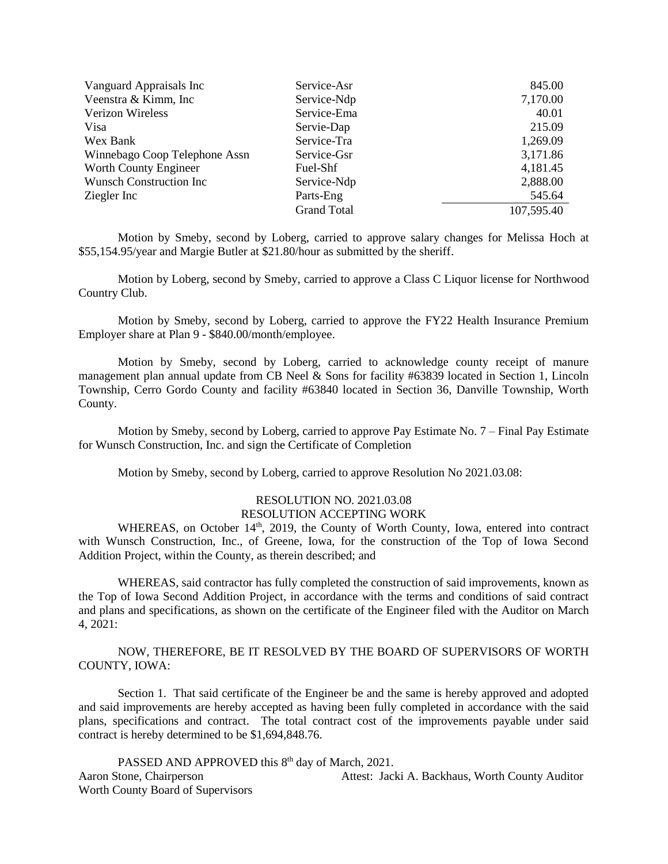| Vanguard Appraisals Inc         | Service-Asr        | 845.00     |
|---------------------------------|--------------------|------------|
| Veenstra & Kimm, Inc.           | Service-Ndp        | 7,170.00   |
| Verizon Wireless                | Service-Ema        | 40.01      |
| Visa                            | Servie-Dap         | 215.09     |
| Wex Bank                        | Service-Tra        | 1,269.09   |
| Winnebago Coop Telephone Assn   | Service-Gsr        | 3,171.86   |
| Worth County Engineer           | Fuel-Shf           | 4,181.45   |
| <b>Wunsch Construction Inc.</b> | Service-Ndp        | 2,888.00   |
| Ziegler Inc                     | Parts-Eng          | 545.64     |
|                                 | <b>Grand Total</b> | 107,595.40 |

Motion by Smeby, second by Loberg, carried to approve salary changes for Melissa Hoch at \$55,154.95/year and Margie Butler at \$21.80/hour as submitted by the sheriff.

Motion by Loberg, second by Smeby, carried to approve a Class C Liquor license for Northwood Country Club.

Motion by Smeby, second by Loberg, carried to approve the FY22 Health Insurance Premium Employer share at Plan 9 - \$840.00/month/employee.

Motion by Smeby, second by Loberg, carried to acknowledge county receipt of manure management plan annual update from CB Neel & Sons for facility #63839 located in Section 1, Lincoln Township, Cerro Gordo County and facility #63840 located in Section 36, Danville Township, Worth County.

Motion by Smeby, second by Loberg, carried to approve Pay Estimate No. 7 – Final Pay Estimate for Wunsch Construction, Inc. and sign the Certificate of Completion

Motion by Smeby, second by Loberg, carried to approve Resolution No 2021.03.08:

## RESOLUTION NO. 2021.03.08 RESOLUTION ACCEPTING WORK

WHEREAS, on October 14<sup>th</sup>, 2019, the County of Worth County, Iowa, entered into contract with Wunsch Construction, Inc., of Greene, Iowa, for the construction of the Top of Iowa Second Addition Project, within the County, as therein described; and

WHEREAS, said contractor has fully completed the construction of said improvements, known as the Top of Iowa Second Addition Project, in accordance with the terms and conditions of said contract and plans and specifications, as shown on the certificate of the Engineer filed with the Auditor on March 4, 2021:

NOW, THEREFORE, BE IT RESOLVED BY THE BOARD OF SUPERVISORS OF WORTH COUNTY, IOWA:

Section 1. That said certificate of the Engineer be and the same is hereby approved and adopted and said improvements are hereby accepted as having been fully completed in accordance with the said plans, specifications and contract. The total contract cost of the improvements payable under said contract is hereby determined to be \$1,694,848.76.

PASSED AND APPROVED this 8<sup>th</sup> day of March, 2021. Aaron Stone, Chairperson **Attest: Jacki A. Backhaus, Worth County Auditor** Worth County Board of Supervisors